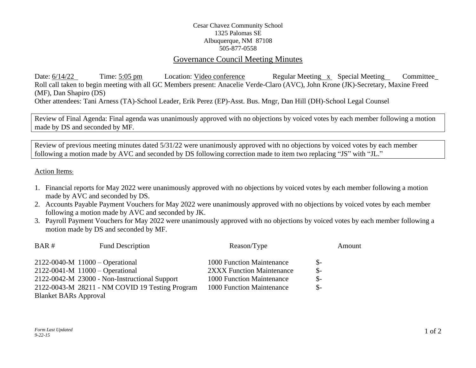## Cesar Chavez Community School 1325 Palomas SE Albuquerque, NM 87108 505-877-0558

## Governance Council Meeting Minutes

Date:  $6/14/22$  Time:  $5:05 \text{ pm}$  Location: Video conference Regular Meeting x Special Meeting Committee Roll call taken to begin meeting with all GC Members present: Anacelie Verde-Claro (AVC), John Krone (JK)-Secretary, Maxine Freed (MF), Dan Shapiro (DS) Other attendees: Tani Arness (TA)-School Leader, Erik Perez (EP)-Asst. Bus. Mngr, Dan Hill (DH)-School Legal Counsel

Review of Final Agenda: Final agenda was unanimously approved with no objections by voiced votes by each member following a motion made by DS and seconded by MF.

Review of previous meeting minutes dated 5/31/22 were unanimously approved with no objections by voiced votes by each member following a motion made by AVC and seconded by DS following correction made to item two replacing "JS" with "JL."

Action Items:

- 1. Financial reports for May 2022 were unanimously approved with no objections by voiced votes by each member following a motion made by AVC and seconded by DS.
- 2. Accounts Payable Payment Vouchers for May 2022 were unanimously approved with no objections by voiced votes by each member following a motion made by AVC and seconded by JK.
- 3. Payroll Payment Vouchers for May 2022 were unanimously approved with no objections by voiced votes by each member following a motion made by DS and seconded by MF.

| BAR#<br><b>Fund Description</b> |                                                 | Reason/Type               | Amount          |
|---------------------------------|-------------------------------------------------|---------------------------|-----------------|
|                                 | $2122 - 0040 - M$ 11000 – Operational           | 1000 Function Maintenance | $\mathcal{S}$ - |
|                                 | $2122 - 0041 - M$ 11000 – Operational           | 2XXX Function Maintenance | $\mathbb{S}^-$  |
|                                 | 2122-0042-M 23000 - Non-Instructional Support   | 1000 Function Maintenance | $\mathbb{S}^-$  |
|                                 | 2122-0043-M 28211 - NM COVID 19 Testing Program | 1000 Function Maintenance | $S-$            |
| <b>Blanket BARs Approval</b>    |                                                 |                           |                 |